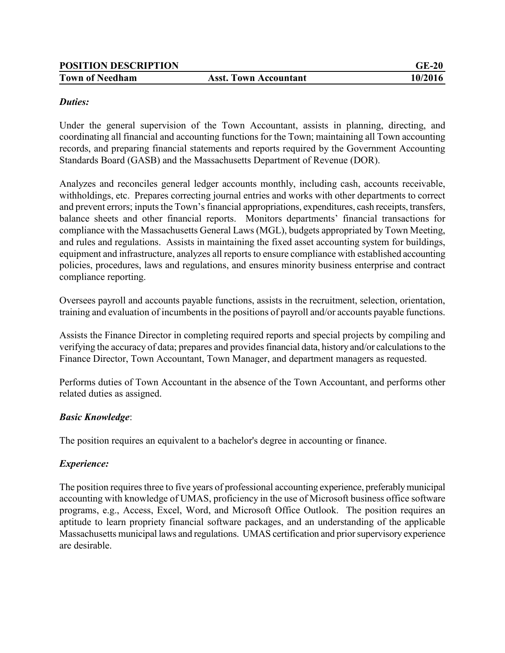| <b>POSITION DESCRIPTION</b> |                              | $GE-20$ |
|-----------------------------|------------------------------|---------|
| <b>Town of Needham</b>      | <b>Asst. Town Accountant</b> | 10/2016 |

#### *Duties:*

Under the general supervision of the Town Accountant, assists in planning, directing, and coordinating all financial and accounting functions for the Town; maintaining all Town accounting records, and preparing financial statements and reports required by the Government Accounting Standards Board (GASB) and the Massachusetts Department of Revenue (DOR).

Analyzes and reconciles general ledger accounts monthly, including cash, accounts receivable, withholdings, etc. Prepares correcting journal entries and works with other departments to correct and prevent errors; inputs the Town's financial appropriations, expenditures, cash receipts, transfers, balance sheets and other financial reports. Monitors departments' financial transactions for compliance with the Massachusetts General Laws (MGL), budgets appropriated by Town Meeting, and rules and regulations. Assists in maintaining the fixed asset accounting system for buildings, equipment and infrastructure, analyzes all reports to ensure compliance with established accounting policies, procedures, laws and regulations, and ensures minority business enterprise and contract compliance reporting.

Oversees payroll and accounts payable functions, assists in the recruitment, selection, orientation, training and evaluation of incumbents in the positions of payroll and/or accounts payable functions.

Assists the Finance Director in completing required reports and special projects by compiling and verifying the accuracy of data; prepares and provides financial data, history and/or calculations to the Finance Director, Town Accountant, Town Manager, and department managers as requested.

Performs duties of Town Accountant in the absence of the Town Accountant, and performs other related duties as assigned.

### *Basic Knowledge*:

The position requires an equivalent to a bachelor's degree in accounting or finance.

### *Experience:*

The position requires three to five years of professional accounting experience, preferably municipal accounting with knowledge of UMAS, proficiency in the use of Microsoft business office software programs, e.g., Access, Excel, Word, and Microsoft Office Outlook. The position requires an aptitude to learn propriety financial software packages, and an understanding of the applicable Massachusetts municipal laws and regulations. UMAS certification and prior supervisory experience are desirable.